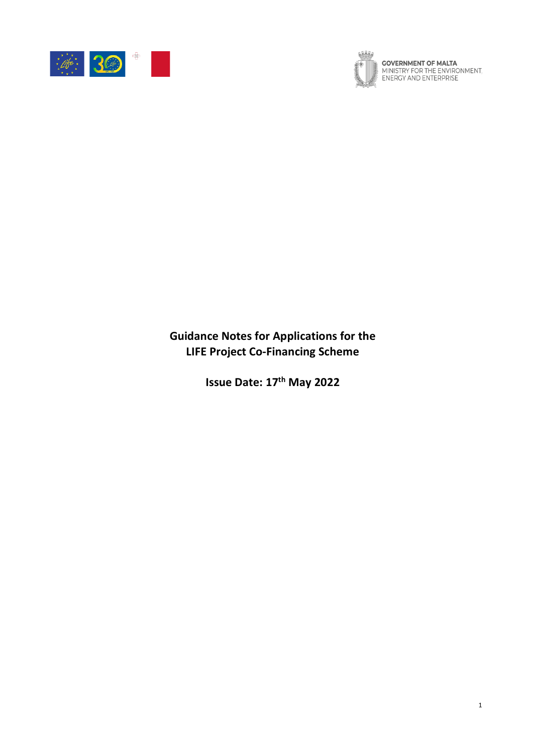



**GOVERNMENT OF MALTA**<br>MINISTRY FOR THE ENVIRONMENT,<br>ENERGY AND ENTERPRISE

**Guidance Notes for Applications for the LIFE Project Co-Financing Scheme**

**Issue Date: 17 th May 2022**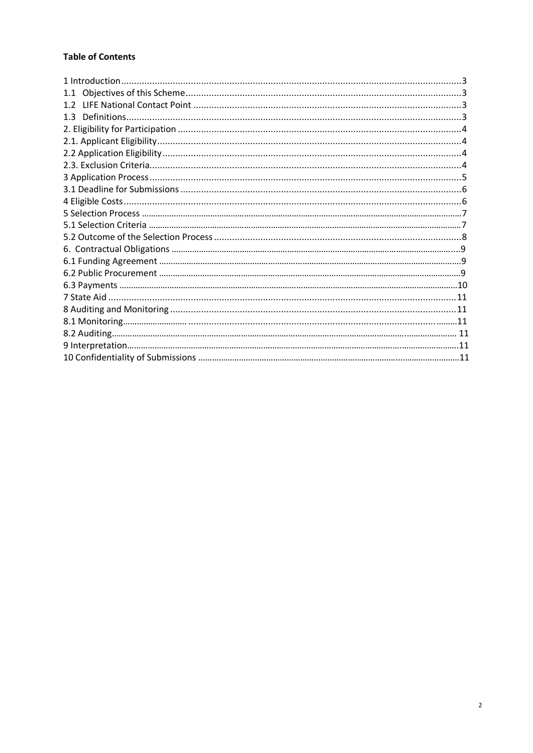# **Table of Contents**

<span id="page-1-0"></span>

| 1.1 |  |
|-----|--|
| 12  |  |
| 1.3 |  |
|     |  |
|     |  |
|     |  |
|     |  |
|     |  |
|     |  |
|     |  |
|     |  |
|     |  |
|     |  |
|     |  |
|     |  |
|     |  |
|     |  |
|     |  |
|     |  |
|     |  |
|     |  |
|     |  |
|     |  |
|     |  |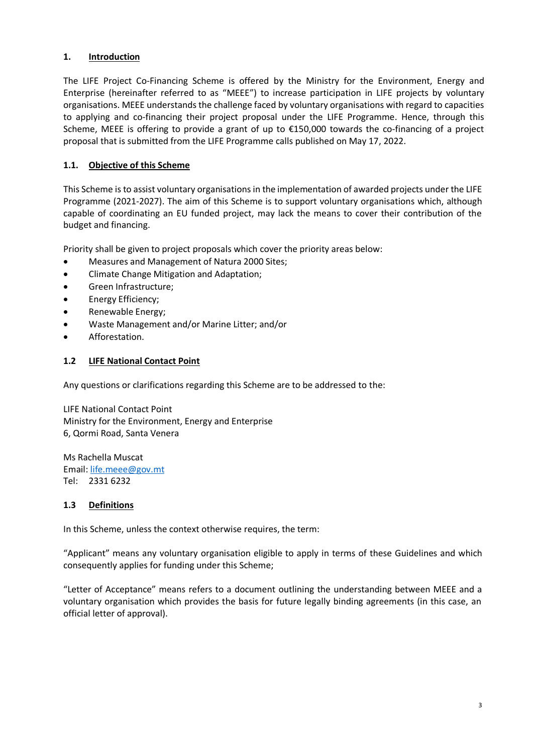### **1. Introduction**

The LIFE Project Co-Financing Scheme is offered by the Ministry for the Environment, Energy and Enterprise (hereinafter referred to as "MEEE") to increase participation in LIFE projects by voluntary organisations. MEEE understands the challenge faced by voluntary organisations with regard to capacities to applying and co-financing their project proposal under the LIFE Programme. Hence, through this Scheme, MEEE is offering to provide a grant of up to €150,000 towards the co-financing of a project proposal that is submitted from the LIFE Programme calls published on May 17, 2022.

### **1.1. Objective of this Scheme**

This Scheme is to assist voluntary organisations in the implementation of awarded projects under the LIFE Programme (2021-2027). The aim of this Scheme is to support voluntary organisations which, although capable of coordinating an EU funded project, may lack the means to cover their contribution of the budget and financing.

Priority shall be given to project proposals which cover the priority areas below:

- Measures and Management of Natura 2000 Sites;
- Climate Change Mitigation and Adaptation;
- Green Infrastructure;
- Energy Efficiency;
- Renewable Energy;
- Waste Management and/or Marine Litter; and/or
- Afforestation.

#### **1.2 LIFE National Contact Point**

Any questions or clarifications regarding this Scheme are to be addressed to the:

LIFE National Contact Point Ministry for the Environment, Energy and Enterprise 6, Qormi Road, Santa Venera

Ms Rachella Muscat Email: [life.meee@gov.mt](mailto:life.meee@gov.mt) Tel: 2331 6232

#### **1.3 Definitions**

In this Scheme, unless the context otherwise requires, the term:

"Applicant" means any voluntary organisation eligible to apply in terms of these Guidelines and which consequently applies for funding under this Scheme;

"Letter of Acceptance" means refers to a document outlining the understanding between MEEE and a voluntary organisation which provides the basis for future legally binding agreements (in this case, an official letter of approval).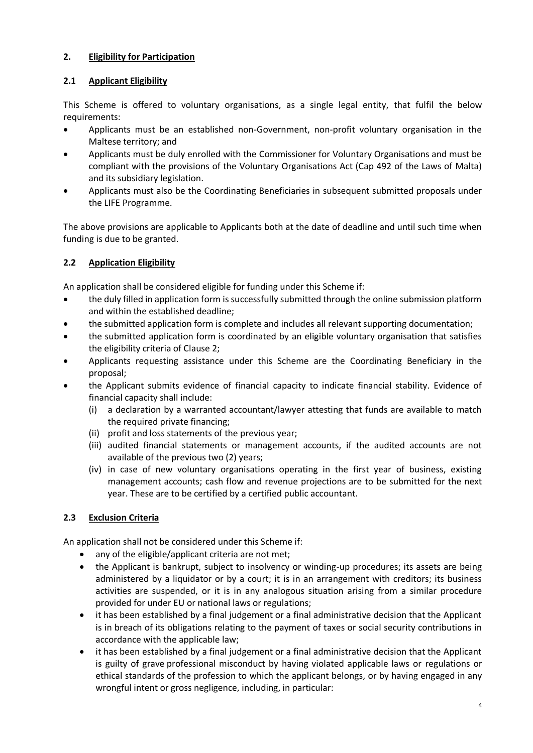# **2. Eligibility for Participation**

### **2.1 Applicant Eligibility**

This Scheme is offered to voluntary organisations, as a single legal entity, that fulfil the below requirements:

- Applicants must be an established non-Government, non-profit voluntary organisation in the Maltese territory; and
- Applicants must be duly enrolled with the Commissioner for Voluntary Organisations and must be compliant with the provisions of the Voluntary Organisations Act (Cap 492 of the Laws of Malta) and its subsidiary legislation.
- Applicants must also be the Coordinating Beneficiaries in subsequent submitted proposals under the LIFE Programme.

The above provisions are applicable to Applicants both at the date of deadline and until such time when funding is due to be granted.

# **2.2 Application Eligibility**

An application shall be considered eligible for funding under this Scheme if:

- the duly filled in application form is successfully submitted through the online submission platform and within the established deadline;
- the submitted application form is complete and includes all relevant supporting documentation;
- the submitted application form is coordinated by an eligible voluntary organisation that satisfies the eligibility criteria of Clause 2;
- Applicants requesting assistance under this Scheme are the Coordinating Beneficiary in the proposal;
- the Applicant submits evidence of financial capacity to indicate financial stability. Evidence of financial capacity shall include:
	- (i) a declaration by a warranted accountant/lawyer attesting that funds are available to match the required private financing;
	- (ii) profit and loss statements of the previous year;
	- (iii) audited financial statements or management accounts, if the audited accounts are not available of the previous two (2) years;
	- (iv) in case of new voluntary organisations operating in the first year of business, existing management accounts; cash flow and revenue projections are to be submitted for the next year. These are to be certified by a certified public accountant.

### <span id="page-3-0"></span>**2.3 Exclusion Criteria**

An application shall not be considered under this Scheme if:

- any of the eligible/applicant criteria are not met:
- the Applicant is bankrupt, subject to insolvency or winding-up procedures; its assets are being administered by a liquidator or by a court; it is in an arrangement with creditors; its business activities are suspended, or it is in any analogous situation arising from a similar procedure provided for under EU or national laws or regulations;
- it has been established by a final judgement or a final administrative decision that the Applicant is in breach of its obligations relating to the payment of taxes or social security contributions in accordance with the applicable law;
- it has been established by a final judgement or a final administrative decision that the Applicant is guilty of grave professional misconduct by having violated applicable laws or regulations or ethical standards of the profession to which the applicant belongs, or by having engaged in any wrongful intent or gross negligence, including, in particular: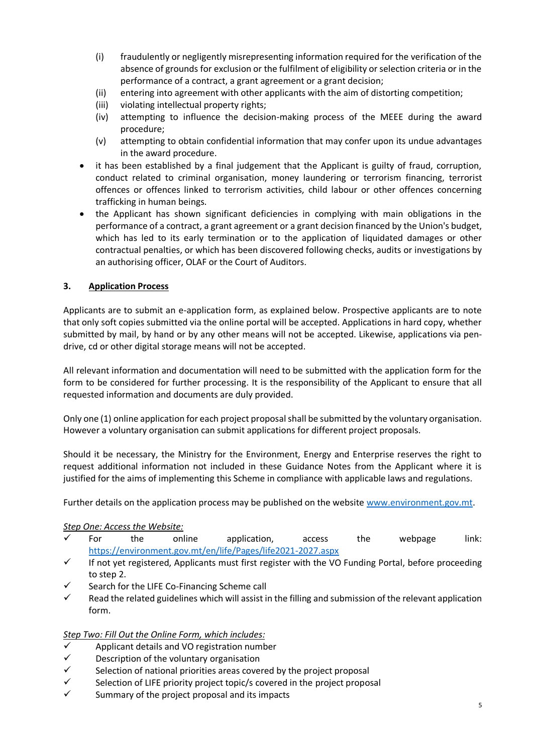- (i) fraudulently or negligently misrepresenting information required for the verification of the absence of grounds for exclusion or the fulfilment of eligibility or selection criteria or in the performance of a contract, a grant agreement or a grant decision;
- (ii) entering into agreement with other applicants with the aim of distorting competition;
- (iii) violating intellectual property rights;
- (iv) attempting to influence the decision-making process of the MEEE during the award procedure;
- (v) attempting to obtain confidential information that may confer upon its undue advantages in the award procedure.
- it has been established by a final judgement that the Applicant is guilty of fraud, corruption, conduct related to criminal organisation, money laundering or terrorism financing, terrorist offences or offences linked to terrorism activities, child labour or other offences concerning trafficking in human beings.
- the Applicant has shown significant deficiencies in complying with main obligations in the performance of a contract, a grant agreement or a grant decision financed by the Union's budget, which has led to its early termination or to the application of liquidated damages or other contractual penalties, or which has been discovered following checks, audits or investigations by an authorising officer, OLAF or the Court of Auditors.

#### **3. Application Process**

Applicants are to submit an e-application form, as explained below. Prospective applicants are to note that only soft copies submitted via the online portal will be accepted. Applications in hard copy, whether submitted by mail, by hand or by any other means will not be accepted. Likewise, applications via pendrive, cd or other digital storage means will not be accepted.

All relevant information and documentation will need to be submitted with the application form for the form to be considered for further processing. It is the responsibility of the Applicant to ensure that all requested information and documents are duly provided.

Only one (1) online application for each project proposal shall be submitted by the voluntary organisation. However a voluntary organisation can submit applications for different project proposals.

Should it be necessary, the Ministry for the Environment, Energy and Enterprise reserves the right to request additional information not included in these Guidance Notes from the Applicant where it is justified for the aims of implementing this Scheme in compliance with applicable laws and regulations.

Further details on the application process may be published on the website [www.environment.gov.mt.](http://www.environment.gov.mt/)

#### *Step One: Access the Website:*

- $\checkmark$  For the online application, access the webpage link: <https://environment.gov.mt/en/life/Pages/life2021-2027.aspx>
- ✓ If not yet registered, Applicants must first register with the VO Funding Portal, before proceeding to step 2.
- Search for the LIFE Co-Financing Scheme call
- $\checkmark$  Read the related guidelines which will assist in the filling and submission of the relevant application form.

#### *Step Two: Fill Out the Online Form, which includes:*

- Applicant details and VO registration number
- $\checkmark$  Description of the voluntary organisation
- $\checkmark$  Selection of national priorities areas covered by the project proposal
- $\checkmark$  Selection of LIFE priority project topic/s covered in the project proposal
- Summary of the project proposal and its impacts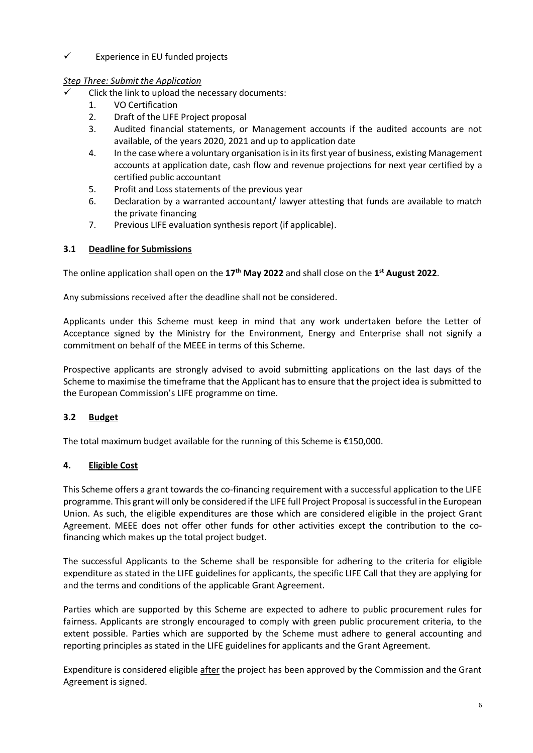### ✓ Experience in EU funded projects

# *Step Three: Submit the Application*

- Click the link to upload the necessary documents:
	- 1. VO Certification
	- 2. Draft of the LIFE Project proposal
	- 3. Audited financial statements, or Management accounts if the audited accounts are not available, of the years 2020, 2021 and up to application date
	- 4. In the case where a voluntary organisation is in its first year of business, existing Management accounts at application date, cash flow and revenue projections for next year certified by a certified public accountant
	- 5. Profit and Loss statements of the previous year
	- 6. Declaration by a warranted accountant/ lawyer attesting that funds are available to match the private financing
	- 7. Previous LIFE evaluation synthesis report (if applicable).

# **3.1 Deadline for Submissions**

The online application shall open on the **17 th May 2022** and shall close on the **1 st August 2022**.

Any submissions received after the deadline shall not be considered.

Applicants under this Scheme must keep in mind that any work undertaken before the Letter of Acceptance signed by the Ministry for the Environment, Energy and Enterprise shall not signify a commitment on behalf of the MEEE in terms of this Scheme.

Prospective applicants are strongly advised to avoid submitting applications on the last days of the Scheme to maximise the timeframe that the Applicant has to ensure that the project idea is submitted to the European Commission's LIFE programme on time.

# **3.2 Budget**

The total maximum budget available for the running of this Scheme is €150,000.

### **4. Eligible Cost**

This Scheme offers a grant towards the co-financing requirement with a successful application to the LIFE programme. This grant will only be considered if the LIFE full Project Proposal is successful in the European Union. As such, the eligible expenditures are those which are considered eligible in the project Grant Agreement. MEEE does not offer other funds for other activities except the contribution to the cofinancing which makes up the total project budget.

The successful Applicants to the Scheme shall be responsible for adhering to the criteria for eligible expenditure as stated in the LIFE guidelines for applicants, the specific LIFE Call that they are applying for and the terms and conditions of the applicable Grant Agreement.

Parties which are supported by this Scheme are expected to adhere to public procurement rules for fairness. Applicants are strongly encouraged to comply with green public procurement criteria, to the extent possible. Parties which are supported by the Scheme must adhere to general accounting and reporting principles as stated in the LIFE guidelines for applicants and the Grant Agreement.

Expenditure is considered eligible after the project has been approved by the Commission and the Grant Agreement is signed.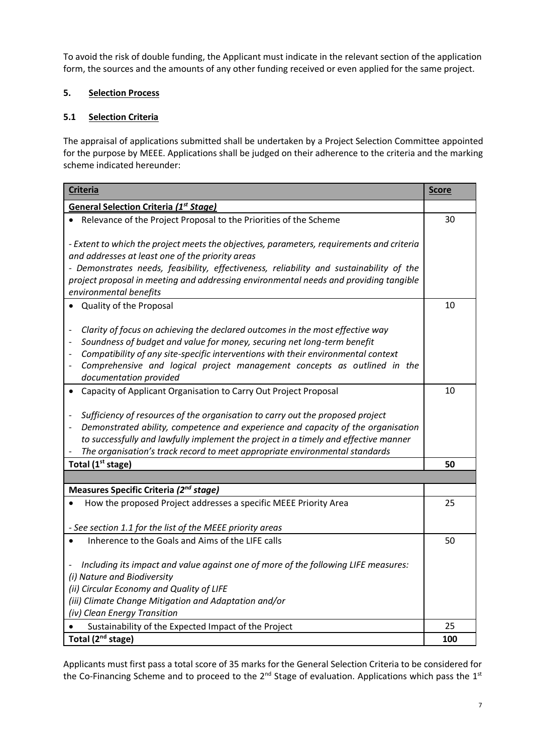To avoid the risk of double funding, the Applicant must indicate in the relevant section of the application form, the sources and the amounts of any other funding received or even applied for the same project.

# **5. Selection Process**

# **5.1 Selection Criteria**

The appraisal of applications submitted shall be undertaken by a Project Selection Committee appointed for the purpose by MEEE. Applications shall be judged on their adherence to the criteria and the marking scheme indicated hereunder:

| <b>Criteria</b>                                                                                                                                                                                                                                                                                                                                                                                                               | <b>Score</b> |
|-------------------------------------------------------------------------------------------------------------------------------------------------------------------------------------------------------------------------------------------------------------------------------------------------------------------------------------------------------------------------------------------------------------------------------|--------------|
| <b>General Selection Criteria (1st Stage)</b>                                                                                                                                                                                                                                                                                                                                                                                 |              |
| Relevance of the Project Proposal to the Priorities of the Scheme                                                                                                                                                                                                                                                                                                                                                             | 30           |
| - Extent to which the project meets the objectives, parameters, requirements and criteria<br>and addresses at least one of the priority areas<br>- Demonstrates needs, feasibility, effectiveness, reliability and sustainability of the<br>project proposal in meeting and addressing environmental needs and providing tangible<br>environmental benefits                                                                   |              |
| Quality of the Proposal                                                                                                                                                                                                                                                                                                                                                                                                       | 10           |
| Clarity of focus on achieving the declared outcomes in the most effective way<br>Soundness of budget and value for money, securing net long-term benefit<br>Compatibility of any site-specific interventions with their environmental context<br>Comprehensive and logical project management concepts as outlined in the<br>$\qquad \qquad \blacksquare$<br>documentation provided                                           |              |
| Capacity of Applicant Organisation to Carry Out Project Proposal<br>Sufficiency of resources of the organisation to carry out the proposed project<br>Demonstrated ability, competence and experience and capacity of the organisation<br>$\frac{1}{2}$<br>to successfully and lawfully implement the project in a timely and effective manner<br>The organisation's track record to meet appropriate environmental standards | 10           |
| Total (1 <sup>st</sup> stage)                                                                                                                                                                                                                                                                                                                                                                                                 | 50           |
|                                                                                                                                                                                                                                                                                                                                                                                                                               |              |
| Measures Specific Criteria (2 <sup>nd</sup> stage)                                                                                                                                                                                                                                                                                                                                                                            |              |
| How the proposed Project addresses a specific MEEE Priority Area<br>- See section 1.1 for the list of the MEEE priority areas                                                                                                                                                                                                                                                                                                 | 25           |
| Inherence to the Goals and Aims of the LIFE calls                                                                                                                                                                                                                                                                                                                                                                             | 50           |
| Including its impact and value against one of more of the following LIFE measures:<br>(i) Nature and Biodiversity<br>(ii) Circular Economy and Quality of LIFE<br>(iii) Climate Change Mitigation and Adaptation and/or<br>(iv) Clean Energy Transition                                                                                                                                                                       |              |
| Sustainability of the Expected Impact of the Project                                                                                                                                                                                                                                                                                                                                                                          | 25           |
| Total (2 <sup>nd</sup> stage)                                                                                                                                                                                                                                                                                                                                                                                                 | 100          |

Applicants must first pass a total score of 35 marks for the General Selection Criteria to be considered for the Co-Financing Scheme and to proceed to the 2<sup>nd</sup> Stage of evaluation. Applications which pass the 1<sup>st</sup>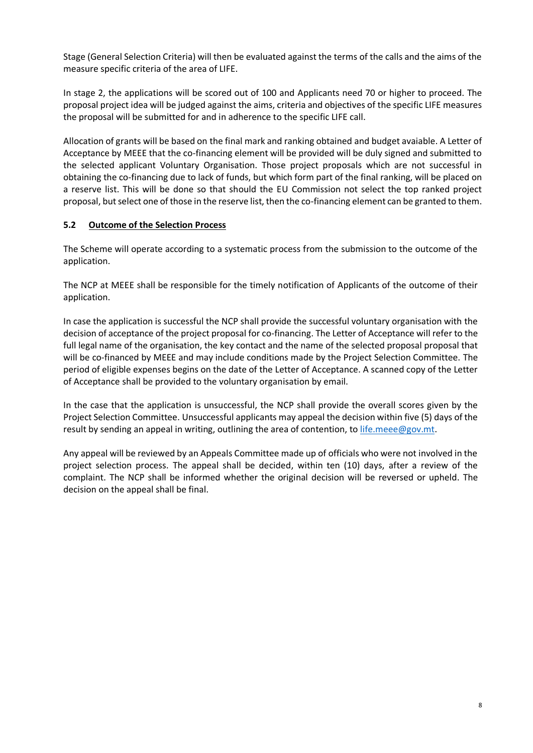Stage (General Selection Criteria) will then be evaluated against the terms of the calls and the aims of the measure specific criteria of the area of LIFE.

In stage 2, the applications will be scored out of 100 and Applicants need 70 or higher to proceed. The proposal project idea will be judged against the aims, criteria and objectives of the specific LIFE measures the proposal will be submitted for and in adherence to the specific LIFE call.

Allocation of grants will be based on the final mark and ranking obtained and budget avaiable. A Letter of Acceptance by MEEE that the co-financing element will be provided will be duly signed and submitted to the selected applicant Voluntary Organisation. Those project proposals which are not successful in obtaining the co-financing due to lack of funds, but which form part of the final ranking, will be placed on a reserve list. This will be done so that should the EU Commission not select the top ranked project proposal, but select one of those in the reserve list, then the co-financing element can be granted to them.

# <span id="page-7-0"></span>**5.2 Outcome of the Selection Process**

The Scheme will operate according to a systematic process from the submission to the outcome of the application.

The NCP at MEEE shall be responsible for the timely notification of Applicants of the outcome of their application.

In case the application is successful the NCP shall provide the successful voluntary organisation with the decision of acceptance of the project proposal for co-financing. The Letter of Acceptance will refer to the full legal name of the organisation, the key contact and the name of the selected proposal proposal that will be co-financed by MEEE and may include conditions made by the Project Selection Committee. The period of eligible expenses begins on the date of the Letter of Acceptance. A scanned copy of the Letter of Acceptance shall be provided to the voluntary organisation by email.

In the case that the application is unsuccessful, the NCP shall provide the overall scores given by the Project Selection Committee. Unsuccessful applicants may appeal the decision within five (5) days of the result by sending an appeal in writing, outlining the area of contention, to [life.meee@gov.mt.](mailto:life.meee@gov.mt)

Any appeal will be reviewed by an Appeals Committee made up of officials who were not involved in the project selection process. The appeal shall be decided, within ten (10) days, after a review of the complaint. The NCP shall be informed whether the original decision will be reversed or upheld. The decision on the appeal shall be final.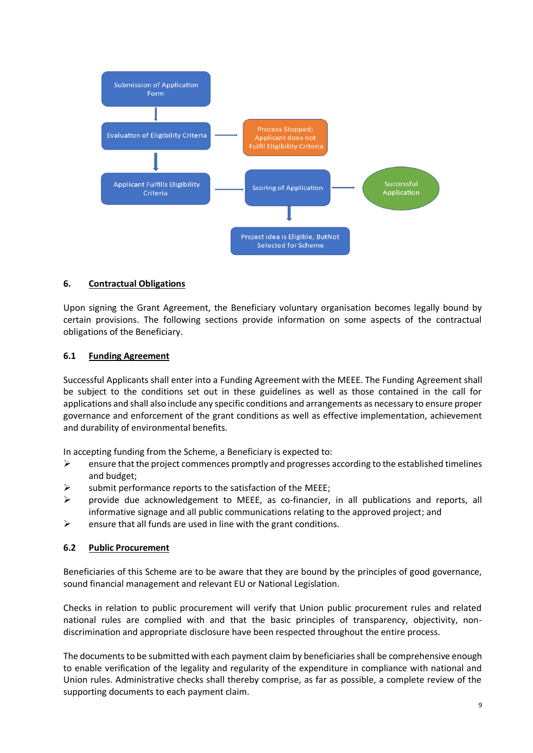<span id="page-8-0"></span>

#### **6. Contractual Obligations**

Upon signing the Grant Agreement, the Beneficiary voluntary organisation becomes legally bound by certain provisions. The following sections provide information on some aspects of the contractual obligations of the Beneficiary.

#### **6.1 Funding Agreement**

Successful Applicants shall enter into a Funding Agreement with the MEEE. The Funding Agreement shall be subject to the conditions set out in these guidelines as well as those contained in the call for applications and shall also include any specific conditions and arrangements as necessary to ensure proper governance and enforcement of the grant conditions as well as effective implementation, achievement and durability of environmental benefits.

In accepting funding from the Scheme, a Beneficiary is expected to:

- $\triangleright$  ensure that the project commences promptly and progresses according to the established timelines and budget;
- submit performance reports to the satisfaction of the MEEE;
- $\triangleright$  provide due acknowledgement to MEEE, as co-financier, in all publications and reports, all informative signage and all public communications relating to the approved project; and
- $\triangleright$  ensure that all funds are used in line with the grant conditions.

### **6.2 Public Procurement**

Beneficiaries of this Scheme are to be aware that they are bound by the principles of good governance, sound financial management and relevant EU or National Legislation.

Checks in relation to public procurement will verify that Union public procurement rules and related national rules are complied with and that the basic principles of transparency, objectivity, nondiscrimination and appropriate disclosure have been respected throughout the entire process.

The documents to be submitted with each payment claim by beneficiaries shall be comprehensive enough to enable verification of the legality and regularity of the expenditure in compliance with national and Union rules. Administrative checks shall thereby comprise, as far as possible, a complete review of the supporting documents to each payment claim.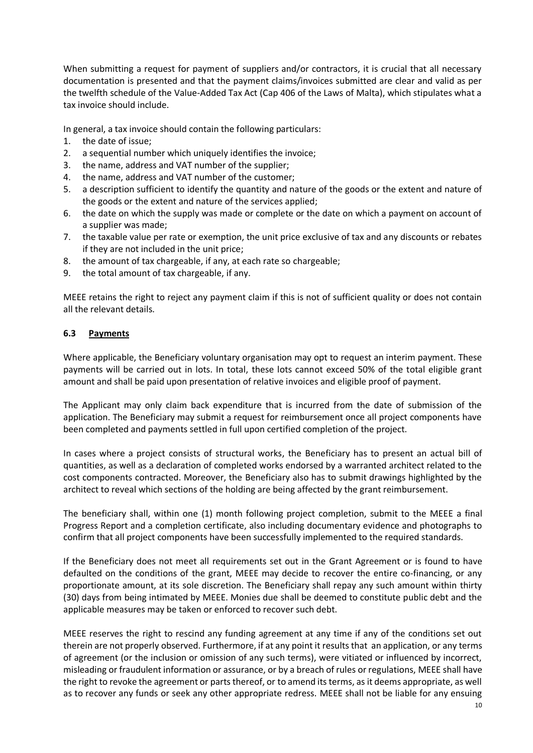When submitting a request for payment of suppliers and/or contractors, it is crucial that all necessary documentation is presented and that the payment claims/invoices submitted are clear and valid as per the twelfth schedule of the Value-Added Tax Act (Cap 406 of the Laws of Malta), which stipulates what a tax invoice should include.

In general, a tax invoice should contain the following particulars:

- 1. the date of issue;
- 2. a sequential number which uniquely identifies the invoice;
- 3. the name, address and VAT number of the supplier;
- 4. the name, address and VAT number of the customer;
- 5. a description sufficient to identify the quantity and nature of the goods or the extent and nature of the goods or the extent and nature of the services applied;
- 6. the date on which the supply was made or complete or the date on which a payment on account of a supplier was made;
- 7. the taxable value per rate or exemption, the unit price exclusive of tax and any discounts or rebates if they are not included in the unit price;
- 8. the amount of tax chargeable, if any, at each rate so chargeable;
- 9. the total amount of tax chargeable, if any.

MEEE retains the right to reject any payment claim if this is not of sufficient quality or does not contain all the relevant details.

#### **6.3 Payments**

Where applicable, the Beneficiary voluntary organisation may opt to request an interim payment. These payments will be carried out in lots. In total, these lots cannot exceed 50% of the total eligible grant amount and shall be paid upon presentation of relative invoices and eligible proof of payment.

The Applicant may only claim back expenditure that is incurred from the date of submission of the application. The Beneficiary may submit a request for reimbursement once all project components have been completed and payments settled in full upon certified completion of the project.

In cases where a project consists of structural works, the Beneficiary has to present an actual bill of quantities, as well as a declaration of completed works endorsed by a warranted architect related to the cost components contracted. Moreover, the Beneficiary also has to submit drawings highlighted by the architect to reveal which sections of the holding are being affected by the grant reimbursement.

The beneficiary shall, within one (1) month following project completion, submit to the MEEE a final Progress Report and a completion certificate, also including documentary evidence and photographs to confirm that all project components have been successfully implemented to the required standards.

If the Beneficiary does not meet all requirements set out in the Grant Agreement or is found to have defaulted on the conditions of the grant, MEEE may decide to recover the entire co-financing, or any proportionate amount, at its sole discretion. The Beneficiary shall repay any such amount within thirty (30) days from being intimated by MEEE. Monies due shall be deemed to constitute public debt and the applicable measures may be taken or enforced to recover such debt.

MEEE reserves the right to rescind any funding agreement at any time if any of the conditions set out therein are not properly observed. Furthermore, if at any point it results that an application, or any terms of agreement (or the inclusion or omission of any such terms), were vitiated or influenced by incorrect, misleading or fraudulent information or assurance, or by a breach of rules or regulations, MEEE shall have the right to revoke the agreement or parts thereof, or to amend its terms, as it deems appropriate, as well as to recover any funds or seek any other appropriate redress. MEEE shall not be liable for any ensuing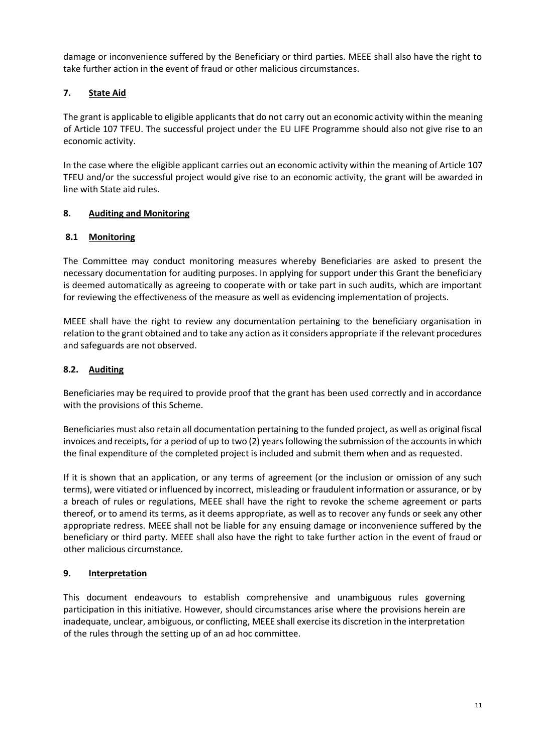damage or inconvenience suffered by the Beneficiary or third parties. MEEE shall also have the right to take further action in the event of fraud or other malicious circumstances.

# **7. State Aid**

The grant is applicable to eligible applicants that do not carry out an economic activity within the meaning of Article 107 TFEU. The successful project under the EU LIFE Programme should also not give rise to an economic activity.

In the case where the eligible applicant carries out an economic activity within the meaning of Article 107 TFEU and/or the successful project would give rise to an economic activity, the grant will be awarded in line with State aid rules.

### **8. Auditing and Monitoring**

### <span id="page-10-0"></span>**8.1 Monitoring**

The Committee may conduct monitoring measures whereby Beneficiaries are asked to present the necessary documentation for auditing purposes. In applying for support under this Grant the beneficiary is deemed automatically as agreeing to cooperate with or take part in such audits, which are important for reviewing the effectiveness of the measure as well as evidencing implementation of projects.

MEEE shall have the right to review any documentation pertaining to the beneficiary organisation in relation to the grant obtained and to take any action as it considers appropriate if the relevant procedures and safeguards are not observed.

### <span id="page-10-1"></span>**8.2. Auditing**

Beneficiaries may be required to provide proof that the grant has been used correctly and in accordance with the provisions of this Scheme.

Beneficiaries must also retain all documentation pertaining to the funded project, as well as original fiscal invoices and receipts, for a period of up to two (2) yearsfollowing the submission of the accounts in which the final expenditure of the completed project is included and submit them when and as requested.

If it is shown that an application, or any terms of agreement (or the inclusion or omission of any such terms), were vitiated or influenced by incorrect, misleading or fraudulent information or assurance, or by a breach of rules or regulations, MEEE shall have the right to revoke the scheme agreement or parts thereof, or to amend its terms, as it deems appropriate, as well as to recover any funds or seek any other appropriate redress. MEEE shall not be liable for any ensuing damage or inconvenience suffered by the beneficiary or third party. MEEE shall also have the right to take further action in the event of fraud or other malicious circumstance.

#### <span id="page-10-2"></span>**9. Interpretation**

This document endeavours to establish comprehensive and unambiguous rules governing participation in this initiative. However, should circumstances arise where the provisions herein are inadequate, unclear, ambiguous, or conflicting, MEEE shall exercise its discretion in the interpretation of the rules through the setting up of an ad hoc committee.